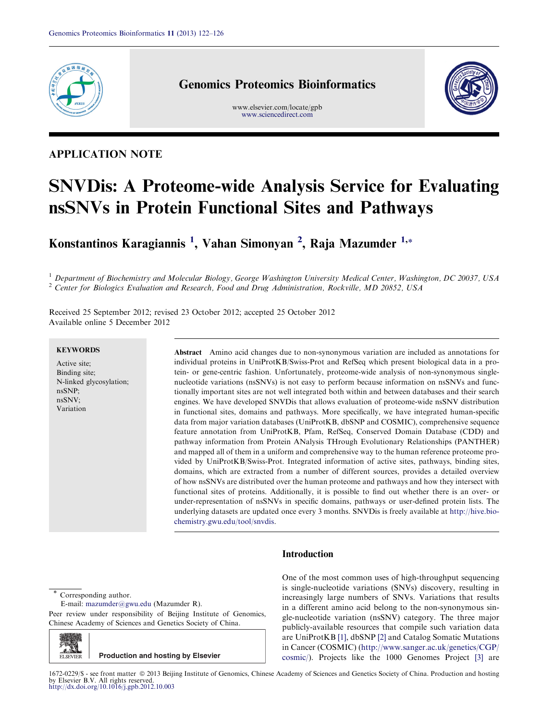

# Genomics Proteomics Bioinformatics

www.elsevier.com/locate/gpb [www.sciencedirect.com](http://www.sciencedirect.com)



# APPLICATION NOTE

# SNVDis: A Proteome-wide Analysis Service for Evaluating nsSNVs in Protein Functional Sites and Pathways

Konstantinos Karagiannis <sup>1</sup>, Vahan Simonyan <sup>2</sup>, Raja Mazumder <sup>1,</sup>\*

 $1$  Department of Biochemistry and Molecular Biology, George Washington University Medical Center, Washington, DC 20037, USA <sup>2</sup> Center for Biologics Evaluation and Research, Food and Drug Administration, Rockville, MD 20852, USA

Received 25 September 2012; revised 23 October 2012; accepted 25 October 2012 Available online 5 December 2012

#### **KEYWORDS**

Active site; Binding site; N-linked glycosylation; nsSNP; nsSNV; Variation

Abstract Amino acid changes due to non-synonymous variation are included as annotations for individual proteins in UniProtKB/Swiss-Prot and RefSeq which present biological data in a protein- or gene-centric fashion. Unfortunately, proteome-wide analysis of non-synonymous singlenucleotide variations (nsSNVs) is not easy to perform because information on nsSNVs and functionally important sites are not well integrated both within and between databases and their search engines. We have developed SNVDis that allows evaluation of proteome-wide nsSNV distribution in functional sites, domains and pathways. More specifically, we have integrated human-specific data from major variation databases (UniProtKB, dbSNP and COSMIC), comprehensive sequence feature annotation from UniProtKB, Pfam, RefSeq, Conserved Domain Database (CDD) and pathway information from Protein ANalysis THrough Evolutionary Relationships (PANTHER) and mapped all of them in a uniform and comprehensive way to the human reference proteome provided by UniProtKB/Swiss-Prot. Integrated information of active sites, pathways, binding sites, domains, which are extracted from a number of different sources, provides a detailed overview of how nsSNVs are distributed over the human proteome and pathways and how they intersect with functional sites of proteins. Additionally, it is possible to find out whether there is an over- or under-representation of nsSNVs in specific domains, pathways or user-defined protein lists. The underlying datasets are updated once every 3 months. SNVDis is freely available at [http://hive.bio](http://hive.biochemistry.gwu.edu/tool/snvdis)[chemistry.gwu.edu/tool/snvdis.](http://hive.biochemistry.gwu.edu/tool/snvdis)

# Introduction

Corresponding author.

E-mail: [mazumder@gwu.edu](mailto:mazumder@gwu.edu) (Mazumder R).

Peer review under responsibility of Beijing Institute of Genomics, Chinese Academy of Sciences and Genetics Society of China.

ELSEVIER **Production and hosting by Elsevier** One of the most common uses of high-throughput sequencing is single-nucleotide variations (SNVs) discovery, resulting in increasingly large numbers of SNVs. Variations that results in a different amino acid belong to the non-synonymous single-nucleotide variation (nsSNV) category. The three major publicly-available resources that compile such variation data are UniProtKB [\[1\]](#page-4-0), dbSNP [\[2\]](#page-4-0) and Catalog Somatic Mutations in Cancer (COSMIC) ([http://www.sanger.ac.uk/genetics/CGP/](http://www.sanger.ac.uk/genetics/CGP/cosmic/) [cosmic/\)](http://www.sanger.ac.uk/genetics/CGP/cosmic/). Projects like the 1000 Genomes Project [\[3\]](#page-4-0) are

1672-0229/\$ - see front matter ª 2013 Beijing Institute of Genomics, Chinese Academy of Sciences and Genetics Society of China. Production and hosting by Elsevier B.V. All rights reserved. <http://dx.doi.org/10.1016/j.gpb.2012.10.003>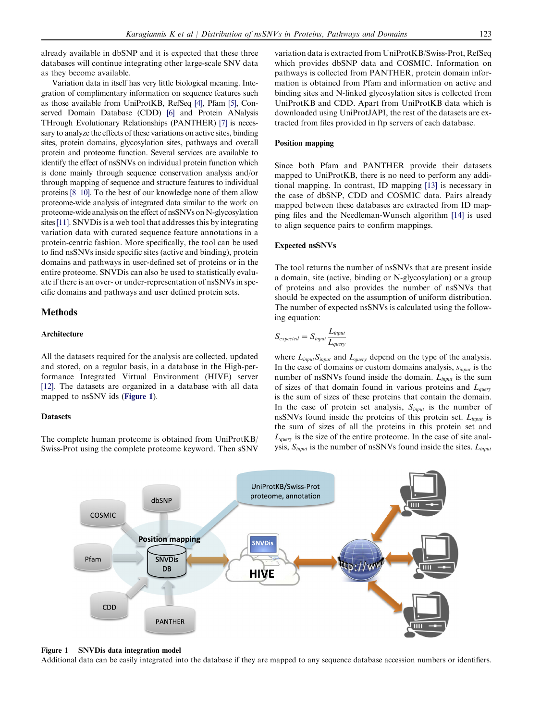already available in dbSNP and it is expected that these three databases will continue integrating other large-scale SNV data as they become available.

Variation data in itself has very little biological meaning. Integration of complimentary information on sequence features such as those available from UniProtKB, RefSeq [\[4\],](#page-4-0) Pfam [\[5\]](#page-4-0), Conserved Domain Database (CDD) [\[6\]](#page-4-0) and Protein ANalysis THrough Evolutionary Relationships (PANTHER) [\[7\]](#page-4-0) is necessary to analyze the effects of these variations on active sites, binding sites, protein domains, glycosylation sites, pathways and overall protein and proteome function. Several services are available to identify the effect of nsSNVs on individual protein function which is done mainly through sequence conservation analysis and/or through mapping of sequence and structure features to individual proteins [\[8–10\].](#page-4-0) To the best of our knowledge none of them allow proteome-wide analysis of integrated data similar to the work on proteome-wide analysis on the effect of nsSNVs on N-glycosylation sites[\[11\].](#page-4-0) SNVDis is a web tool that addresses this by integrating variation data with curated sequence feature annotations in a protein-centric fashion. More specifically, the tool can be used to find nsSNVs inside specific sites (active and binding), protein domains and pathways in user-defined set of proteins or in the entire proteome. SNVDis can also be used to statistically evaluate if there is an over- or under-representation of nsSNVs in specific domains and pathways and user defined protein sets.

# **Methods**

#### Architecture

All the datasets required for the analysis are collected, updated and stored, on a regular basis, in a database in the High-performance Integrated Virtual Environment (HIVE) server [\[12\]](#page-4-0). The datasets are organized in a database with all data mapped to nsSNV ids (Figure 1).

### **Datasets**

The complete human proteome is obtained from UniProtKB/ Swiss-Prot using the complete proteome keyword. Then sSNV variation data is extracted from UniProtKB/Swiss-Prot, RefSeq which provides dbSNP data and COSMIC. Information on pathways is collected from PANTHER, protein domain information is obtained from Pfam and information on active and binding sites and N-linked glycosylation sites is collected from UniProtKB and CDD. Apart from UniProtKB data which is downloaded using UniProtJAPI, the rest of the datasets are extracted from files provided in ftp servers of each database.

#### Position mapping

Since both Pfam and PANTHER provide their datasets mapped to UniProtKB, there is no need to perform any additional mapping. In contrast, ID mapping [\[13\]](#page-4-0) is necessary in the case of dbSNP, CDD and COSMIC data. Pairs already mapped between these databases are extracted from ID mapping files and the Needleman-Wunsch algorithm [\[14\]](#page-4-0) is used to align sequence pairs to confirm mappings.

#### Expected nsSNVs

The tool returns the number of nsSNVs that are present inside a domain, site (active, binding or N-glycosylation) or a group of proteins and also provides the number of nsSNVs that should be expected on the assumption of uniform distribution. The number of expected nsSNVs is calculated using the following equation:

$$
S_{expected} = S_{input} \frac{L_{input}}{L_{query}}
$$

where  $L_{input}S_{input}$  and  $L_{query}$  depend on the type of the analysis. In the case of domains or custom domains analysis,  $s_{input}$  is the number of nsSNVs found inside the domain.  $L_{input}$  is the sum of sizes of that domain found in various proteins and  $L_{query}$ is the sum of sizes of these proteins that contain the domain. In the case of protein set analysis,  $S_{input}$  is the number of nsSNVs found inside the proteins of this protein set.  $L_{input}$  is the sum of sizes of all the proteins in this protein set and  $L_{query}$  is the size of the entire proteome. In the case of site analysis,  $S_{input}$  is the number of nsSNVs found inside the sites.  $L_{input}$ 





Additional data can be easily integrated into the database if they are mapped to any sequence database accession numbers or identifiers.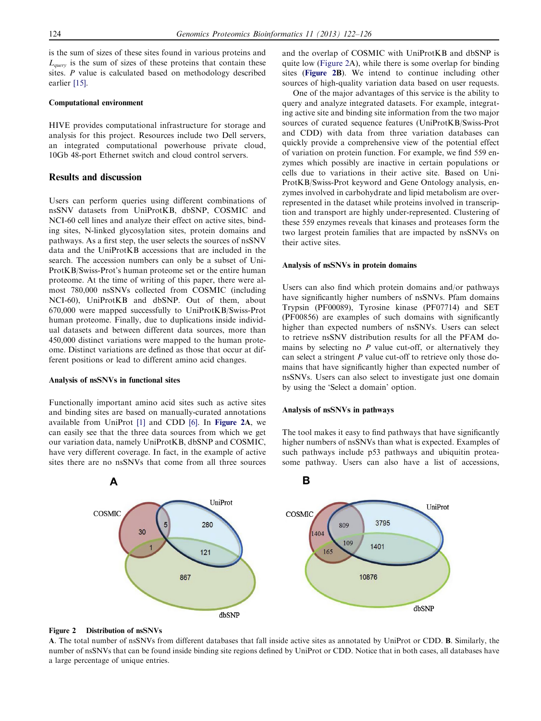is the sum of sizes of these sites found in various proteins and  $L_{\text{query}}$  is the sum of sizes of these proteins that contain these sites. P value is calculated based on methodology described earlier [\[15\].](#page-4-0)

### Computational environment

HIVE provides computational infrastructure for storage and analysis for this project. Resources include two Dell servers, an integrated computational powerhouse private cloud, 10Gb 48-port Ethernet switch and cloud control servers.

# Results and discussion

Users can perform queries using different combinations of nsSNV datasets from UniProtKB, dbSNP, COSMIC and NCI-60 cell lines and analyze their effect on active sites, binding sites, N-linked glycosylation sites, protein domains and pathways. As a first step, the user selects the sources of nsSNV data and the UniProtKB accessions that are included in the search. The accession numbers can only be a subset of Uni-ProtKB/Swiss-Prot's human proteome set or the entire human proteome. At the time of writing of this paper, there were almost 780,000 nsSNVs collected from COSMIC (including NCI-60), UniProtKB and dbSNP. Out of them, about 670,000 were mapped successfully to UniProtKB/Swiss-Prot human proteome. Finally, due to duplications inside individual datasets and between different data sources, more than 450,000 distinct variations were mapped to the human proteome. Distinct variations are defined as those that occur at different positions or lead to different amino acid changes.

#### Analysis of nsSNVs in functional sites

Functionally important amino acid sites such as active sites and binding sites are based on manually-curated annotations available from UniProt [\[1\]](#page-4-0) and CDD [\[6\]](#page-4-0). In Figure 2A, we can easily see that the three data sources from which we get our variation data, namely UniProtKB, dbSNP and COSMIC, have very different coverage. In fact, in the example of active sites there are no nsSNVs that come from all three sources

and the overlap of COSMIC with UniProtKB and dbSNP is quite low (Figure 2A), while there is some overlap for binding sites (Figure 2B). We intend to continue including other sources of high-quality variation data based on user requests.

One of the major advantages of this service is the ability to query and analyze integrated datasets. For example, integrating active site and binding site information from the two major sources of curated sequence features (UniProtKB/Swiss-Prot and CDD) with data from three variation databases can quickly provide a comprehensive view of the potential effect of variation on protein function. For example, we find 559 enzymes which possibly are inactive in certain populations or cells due to variations in their active site. Based on Uni-ProtKB/Swiss-Prot keyword and Gene Ontology analysis, enzymes involved in carbohydrate and lipid metabolism are overrepresented in the dataset while proteins involved in transcription and transport are highly under-represented. Clustering of these 559 enzymes reveals that kinases and proteases form the two largest protein families that are impacted by nsSNVs on their active sites.

#### Analysis of nsSNVs in protein domains

Users can also find which protein domains and/or pathways have significantly higher numbers of nsSNVs. Pfam domains Trypsin (PF00089), Tyrosine kinase (PF07714) and SET (PF00856) are examples of such domains with significantly higher than expected numbers of nsSNVs. Users can select to retrieve nsSNV distribution results for all the PFAM domains by selecting no  $P$  value cut-off, or alternatively they can select a stringent P value cut-off to retrieve only those domains that have significantly higher than expected number of nsSNVs. Users can also select to investigate just one domain by using the 'Select a domain' option.

#### Analysis of nsSNVs in pathways

The tool makes it easy to find pathways that have significantly higher numbers of nsSNVs than what is expected. Examples of such pathways include p53 pathways and ubiquitin proteasome pathway. Users can also have a list of accessions,



# Figure 2 Distribution of nsSNVs

A. The total number of nsSNVs from different databases that fall inside active sites as annotated by UniProt or CDD. B. Similarly, the number of nsSNVs that can be found inside binding site regions defined by UniProt or CDD. Notice that in both cases, all databases have a large percentage of unique entries.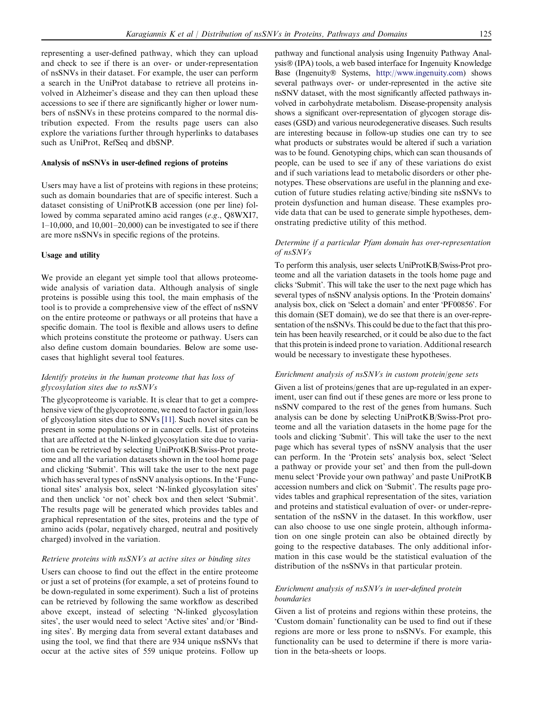representing a user-defined pathway, which they can upload and check to see if there is an over- or under-representation of nsSNVs in their dataset. For example, the user can perform a search in the UniProt database to retrieve all proteins involved in Alzheimer's disease and they can then upload these accessions to see if there are significantly higher or lower numbers of nsSNVs in these proteins compared to the normal distribution expected. From the results page users can also explore the variations further through hyperlinks to databases such as UniProt, RefSeq and dbSNP.

#### Analysis of nsSNVs in user-defined regions of proteins

Users may have a list of proteins with regions in these proteins; such as domain boundaries that are of specific interest. Such a dataset consisting of UniProtKB accession (one per line) followed by comma separated amino acid ranges (e.g., Q8WXI7, 1–10,000, and 10,001–20,000) can be investigated to see if there are more nsSNVs in specific regions of the proteins.

# Usage and utility

We provide an elegant yet simple tool that allows proteomewide analysis of variation data. Although analysis of single proteins is possible using this tool, the main emphasis of the tool is to provide a comprehensive view of the effect of nsSNV on the entire proteome or pathways or all proteins that have a specific domain. The tool is flexible and allows users to define which proteins constitute the proteome or pathway. Users can also define custom domain boundaries. Below are some usecases that highlight several tool features.

# Identify proteins in the human proteome that has loss of glycosylation sites due to nsSNVs

The glycoproteome is variable. It is clear that to get a comprehensive view of the glycoproteome, we need to factor in gain/loss of glycosylation sites due to SNVs [\[11\]](#page-4-0). Such novel sites can be present in some populations or in cancer cells. List of proteins that are affected at the N-linked glycosylation site due to variation can be retrieved by selecting UniProtKB/Swiss-Prot proteome and all the variation datasets shown in the tool home page and clicking 'Submit'. This will take the user to the next page which has several types of nsSNV analysis options. In the 'Functional sites' analysis box, select 'N-linked glycosylation sites' and then unclick 'or not' check box and then select 'Submit'. The results page will be generated which provides tables and graphical representation of the sites, proteins and the type of amino acids (polar, negatively charged, neutral and positively charged) involved in the variation.

#### Retrieve proteins with nsSNVs at active sites or binding sites

Users can choose to find out the effect in the entire proteome or just a set of proteins (for example, a set of proteins found to be down-regulated in some experiment). Such a list of proteins can be retrieved by following the same workflow as described above except, instead of selecting 'N-linked glycosylation sites', the user would need to select 'Active sites' and/or 'Binding sites'. By merging data from several extant databases and using the tool, we find that there are 934 unique nsSNVs that occur at the active sites of 559 unique proteins. Follow up pathway and functional analysis using Ingenuity Pathway Analysis® (IPA) tools, a web based interface for Ingenuity Knowledge Base (Ingenuity® Systems, <http://www.ingenuity.com>) shows several pathways over- or under-represented in the active site nsSNV dataset, with the most significantly affected pathways involved in carbohydrate metabolism. Disease-propensity analysis shows a significant over-representation of glycogen storage diseases (GSD) and various neurodegenerative diseases. Such results are interesting because in follow-up studies one can try to see what products or substrates would be altered if such a variation was to be found. Genotyping chips, which can scan thousands of people, can be used to see if any of these variations do exist and if such variations lead to metabolic disorders or other phenotypes. These observations are useful in the planning and execution of future studies relating active/binding site nsSNVs to protein dysfunction and human disease. These examples provide data that can be used to generate simple hypotheses, demonstrating predictive utility of this method.

# Determine if a particular Pfam domain has over-representation of nsSNVs

To perform this analysis, user selects UniProtKB/Swiss-Prot proteome and all the variation datasets in the tools home page and clicks 'Submit'. This will take the user to the next page which has several types of nsSNV analysis options. In the 'Protein domains' analysis box, click on 'Select a domain' and enter 'PF00856'. For this domain (SET domain), we do see that there is an over-representation of the nsSNVs. This could be due to the fact that this protein has been heavily researched, or it could be also due to the fact that this protein is indeed prone to variation. Additional research would be necessary to investigate these hypotheses.

#### Enrichment analysis of nsSNVs in custom protein/gene sets

Given a list of proteins/genes that are up-regulated in an experiment, user can find out if these genes are more or less prone to nsSNV compared to the rest of the genes from humans. Such analysis can be done by selecting UniProtKB/Swiss-Prot proteome and all the variation datasets in the home page for the tools and clicking 'Submit'. This will take the user to the next page which has several types of nsSNV analysis that the user can perform. In the 'Protein sets' analysis box, select 'Select a pathway or provide your set' and then from the pull-down menu select 'Provide your own pathway' and paste UniProtKB accession numbers and click on 'Submit'. The results page provides tables and graphical representation of the sites, variation and proteins and statistical evaluation of over- or under-representation of the nsSNV in the dataset. In this workflow, user can also choose to use one single protein, although information on one single protein can also be obtained directly by going to the respective databases. The only additional information in this case would be the statistical evaluation of the distribution of the nsSNVs in that particular protein.

# Enrichment analysis of nsSNVs in user-defined protein boundaries

Given a list of proteins and regions within these proteins, the 'Custom domain' functionality can be used to find out if these regions are more or less prone to nsSNVs. For example, this functionality can be used to determine if there is more variation in the beta-sheets or loops.